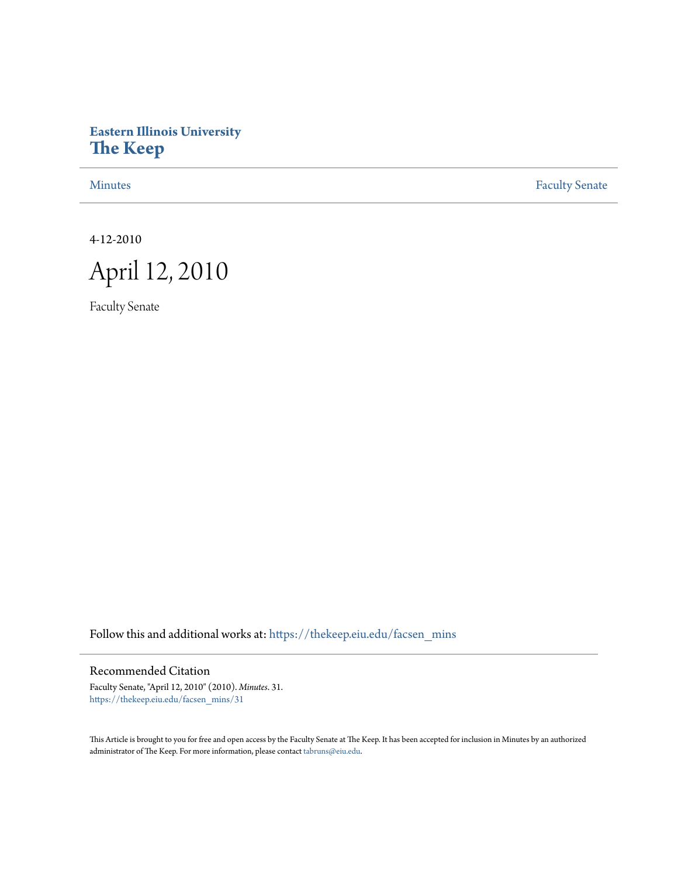# **Eastern Illinois University [The Keep](https://thekeep.eiu.edu?utm_source=thekeep.eiu.edu%2Ffacsen_mins%2F31&utm_medium=PDF&utm_campaign=PDFCoverPages)**

[Minutes](https://thekeep.eiu.edu/facsen_mins?utm_source=thekeep.eiu.edu%2Ffacsen_mins%2F31&utm_medium=PDF&utm_campaign=PDFCoverPages) **[Faculty Senate](https://thekeep.eiu.edu/fac_senate?utm_source=thekeep.eiu.edu%2Ffacsen_mins%2F31&utm_medium=PDF&utm_campaign=PDFCoverPages)** 

4-12-2010



Faculty Senate

Follow this and additional works at: [https://thekeep.eiu.edu/facsen\\_mins](https://thekeep.eiu.edu/facsen_mins?utm_source=thekeep.eiu.edu%2Ffacsen_mins%2F31&utm_medium=PDF&utm_campaign=PDFCoverPages)

Recommended Citation

Faculty Senate, "April 12, 2010" (2010). *Minutes*. 31. [https://thekeep.eiu.edu/facsen\\_mins/31](https://thekeep.eiu.edu/facsen_mins/31?utm_source=thekeep.eiu.edu%2Ffacsen_mins%2F31&utm_medium=PDF&utm_campaign=PDFCoverPages)

This Article is brought to you for free and open access by the Faculty Senate at The Keep. It has been accepted for inclusion in Minutes by an authorized administrator of The Keep. For more information, please contact [tabruns@eiu.edu.](mailto:tabruns@eiu.edu)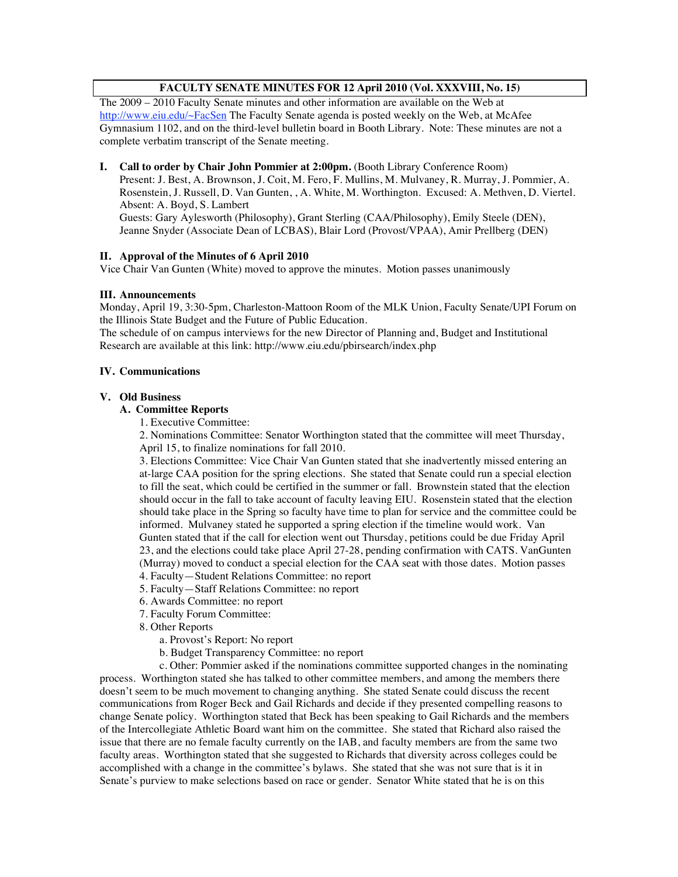# **FACULTY SENATE MINUTES FOR 12 April 2010 (Vol. XXXVIII, No. 15)**

The 2009 – 2010 Faculty Senate minutes and other information are available on the Web at http://www.eiu.edu/~FacSen The Faculty Senate agenda is posted weekly on the Web, at McAfee Gymnasium 1102, and on the third-level bulletin board in Booth Library. Note: These minutes are not a complete verbatim transcript of the Senate meeting.

## **I. Call to order by Chair John Pommier at 2:00pm.** (Booth Library Conference Room)

Present: J. Best, A. Brownson, J. Coit, M. Fero, F. Mullins, M. Mulvaney, R. Murray, J. Pommier, A. Rosenstein, J. Russell, D. Van Gunten, , A. White, M. Worthington. Excused: A. Methven, D. Viertel. Absent: A. Boyd, S. Lambert

Guests: Gary Aylesworth (Philosophy), Grant Sterling (CAA/Philosophy), Emily Steele (DEN), Jeanne Snyder (Associate Dean of LCBAS), Blair Lord (Provost/VPAA), Amir Prellberg (DEN)

# **II. Approval of the Minutes of 6 April 2010**

Vice Chair Van Gunten (White) moved to approve the minutes. Motion passes unanimously

## **III. Announcements**

Monday, April 19, 3:30-5pm, Charleston-Mattoon Room of the MLK Union, Faculty Senate/UPI Forum on the Illinois State Budget and the Future of Public Education.

The schedule of on campus interviews for the new Director of Planning and, Budget and Institutional Research are available at this link: http://www.eiu.edu/pbirsearch/index.php

## **IV. Communications**

## **V. Old Business**

## **A. Committee Reports**

1. Executive Committee:

2. Nominations Committee: Senator Worthington stated that the committee will meet Thursday, April 15, to finalize nominations for fall 2010.

3. Elections Committee: Vice Chair Van Gunten stated that she inadvertently missed entering an at-large CAA position for the spring elections. She stated that Senate could run a special election to fill the seat, which could be certified in the summer or fall. Brownstein stated that the election should occur in the fall to take account of faculty leaving EIU. Rosenstein stated that the election should take place in the Spring so faculty have time to plan for service and the committee could be informed. Mulvaney stated he supported a spring election if the timeline would work. Van Gunten stated that if the call for election went out Thursday, petitions could be due Friday April 23, and the elections could take place April 27-28, pending confirmation with CATS. VanGunten (Murray) moved to conduct a special election for the CAA seat with those dates. Motion passes

- 4. Faculty—Student Relations Committee: no report
- 5. Faculty—Staff Relations Committee: no report
- 6. Awards Committee: no report
- 7. Faculty Forum Committee:
- 8. Other Reports
	- a. Provost's Report: No report
	- b. Budget Transparency Committee: no report

c. Other: Pommier asked if the nominations committee supported changes in the nominating process. Worthington stated she has talked to other committee members, and among the members there doesn't seem to be much movement to changing anything. She stated Senate could discuss the recent communications from Roger Beck and Gail Richards and decide if they presented compelling reasons to change Senate policy. Worthington stated that Beck has been speaking to Gail Richards and the members of the Intercollegiate Athletic Board want him on the committee. She stated that Richard also raised the issue that there are no female faculty currently on the IAB, and faculty members are from the same two faculty areas. Worthington stated that she suggested to Richards that diversity across colleges could be accomplished with a change in the committee's bylaws. She stated that she was not sure that is it in Senate's purview to make selections based on race or gender. Senator White stated that he is on this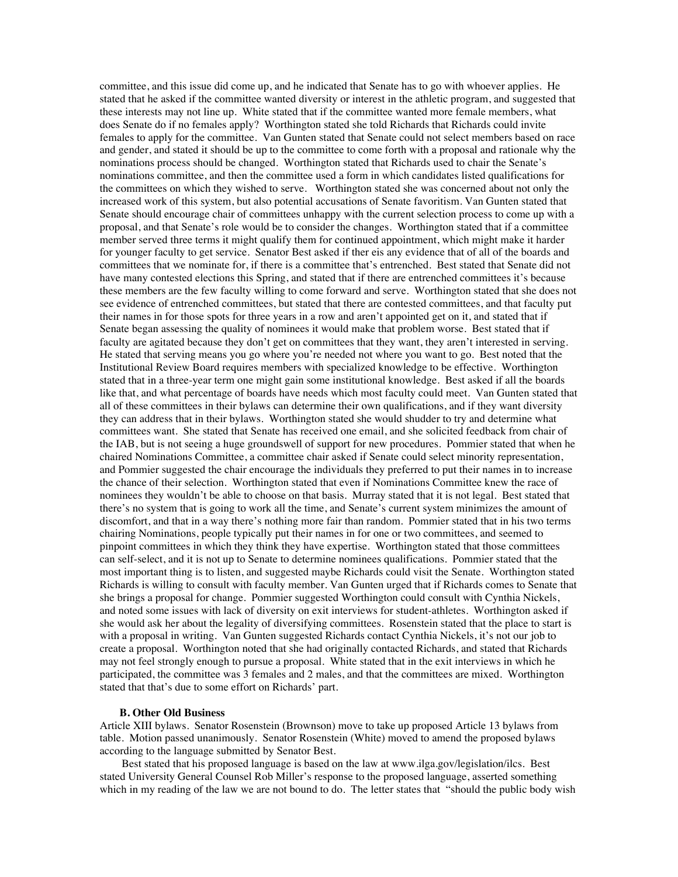committee, and this issue did come up, and he indicated that Senate has to go with whoever applies. He stated that he asked if the committee wanted diversity or interest in the athletic program, and suggested that these interests may not line up. White stated that if the committee wanted more female members, what does Senate do if no females apply? Worthington stated she told Richards that Richards could invite females to apply for the committee. Van Gunten stated that Senate could not select members based on race and gender, and stated it should be up to the committee to come forth with a proposal and rationale why the nominations process should be changed. Worthington stated that Richards used to chair the Senate's nominations committee, and then the committee used a form in which candidates listed qualifications for the committees on which they wished to serve. Worthington stated she was concerned about not only the increased work of this system, but also potential accusations of Senate favoritism. Van Gunten stated that Senate should encourage chair of committees unhappy with the current selection process to come up with a proposal, and that Senate's role would be to consider the changes. Worthington stated that if a committee member served three terms it might qualify them for continued appointment, which might make it harder for younger faculty to get service. Senator Best asked if ther eis any evidence that of all of the boards and committees that we nominate for, if there is a committee that's entrenched. Best stated that Senate did not have many contested elections this Spring, and stated that if there are entrenched committees it's because these members are the few faculty willing to come forward and serve. Worthington stated that she does not see evidence of entrenched committees, but stated that there are contested committees, and that faculty put their names in for those spots for three years in a row and aren't appointed get on it, and stated that if Senate began assessing the quality of nominees it would make that problem worse. Best stated that if faculty are agitated because they don't get on committees that they want, they aren't interested in serving. He stated that serving means you go where you're needed not where you want to go. Best noted that the Institutional Review Board requires members with specialized knowledge to be effective. Worthington stated that in a three-year term one might gain some institutional knowledge. Best asked if all the boards like that, and what percentage of boards have needs which most faculty could meet. Van Gunten stated that all of these committees in their bylaws can determine their own qualifications, and if they want diversity they can address that in their bylaws. Worthington stated she would shudder to try and determine what committees want. She stated that Senate has received one email, and she solicited feedback from chair of the IAB, but is not seeing a huge groundswell of support for new procedures. Pommier stated that when he chaired Nominations Committee, a committee chair asked if Senate could select minority representation, and Pommier suggested the chair encourage the individuals they preferred to put their names in to increase the chance of their selection. Worthington stated that even if Nominations Committee knew the race of nominees they wouldn't be able to choose on that basis. Murray stated that it is not legal. Best stated that there's no system that is going to work all the time, and Senate's current system minimizes the amount of discomfort, and that in a way there's nothing more fair than random. Pommier stated that in his two terms chairing Nominations, people typically put their names in for one or two committees, and seemed to pinpoint committees in which they think they have expertise. Worthington stated that those committees can self-select, and it is not up to Senate to determine nominees qualifications. Pommier stated that the most important thing is to listen, and suggested maybe Richards could visit the Senate. Worthington stated Richards is willing to consult with faculty member. Van Gunten urged that if Richards comes to Senate that she brings a proposal for change. Pommier suggested Worthington could consult with Cynthia Nickels, and noted some issues with lack of diversity on exit interviews for student-athletes. Worthington asked if she would ask her about the legality of diversifying committees. Rosenstein stated that the place to start is with a proposal in writing. Van Gunten suggested Richards contact Cynthia Nickels, it's not our job to create a proposal. Worthington noted that she had originally contacted Richards, and stated that Richards may not feel strongly enough to pursue a proposal. White stated that in the exit interviews in which he participated, the committee was 3 females and 2 males, and that the committees are mixed. Worthington stated that that's due to some effort on Richards' part.

#### **B. Other Old Business**

Article XIII bylaws. Senator Rosenstein (Brownson) move to take up proposed Article 13 bylaws from table. Motion passed unanimously. Senator Rosenstein (White) moved to amend the proposed bylaws according to the language submitted by Senator Best.

Best stated that his proposed language is based on the law at www.ilga.gov/legislation/ilcs. Best stated University General Counsel Rob Miller's response to the proposed language, asserted something which in my reading of the law we are not bound to do. The letter states that "should the public body wish"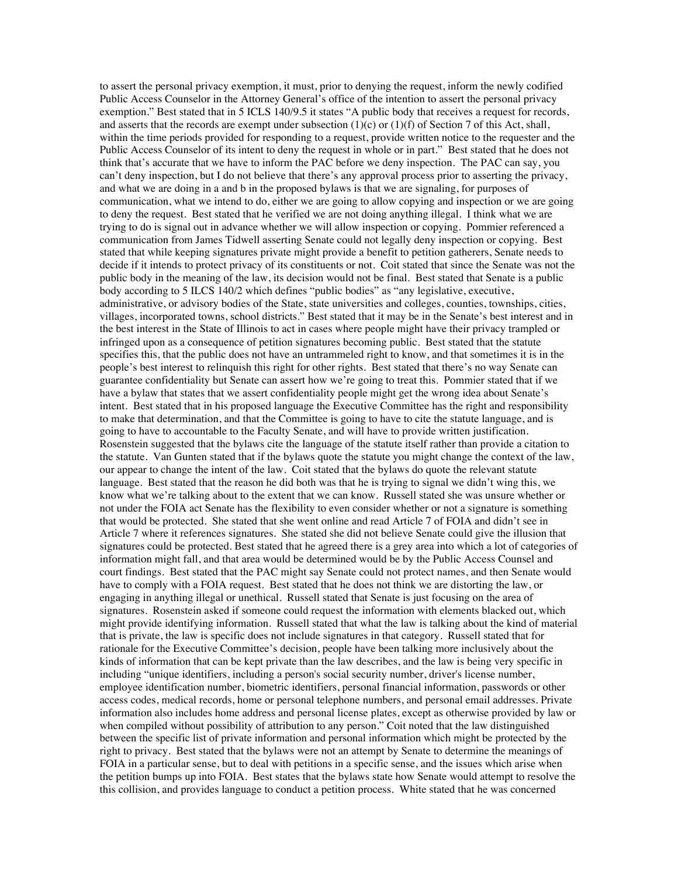to assert the personal privacy exemption, it must, prior to denying the request, inform the newly codified Public Access Counselor in the Attorney General's office of the intention to assert the personal privacy exemption." Best stated that in 5 ICLS 140/9.5 it states "A public body that receives a request for records, and asserts that the records are exempt under subsection  $(1)(c)$  or  $(1)(f)$  of Section 7 of this Act, shall, within the time periods provided for responding to a request, provide written notice to the requester and the Public Access Counselor of its intent to deny the request in whole or in part." Best stated that he does not think that's accurate that we have to inform the PAC before we deny inspection. The PAC can say, you can't deny inspection, but I do not believe that there's any approval process prior to asserting the privacy, and what we are doing in a and b in the proposed bylaws is that we are signaling, for purposes of communication, what we intend to do, either we are going to allow copying and inspection or we are going to deny the request. Best stated that he verified we are not doing anything illegal. I think what we are trying to do is signal out in advance whether we will allow inspection or copying. Pommier referenced a communication from James Tidwell asserting Senate could not legally deny inspection or copying. Best stated that while keeping signatures private might provide a benefit to petition gatherers, Senate needs to decide if it intends to protect privacy of its constituents or not. Coit stated that since the Senate was not the public body in the meaning of the law, its decision would not be final. Best stated that Senate is a public body according to 5 ILCS 140/2 which defines "public bodies" as "any legislative, executive, administrative, or advisory bodies of the State, state universities and colleges, counties, townships, cities, villages, incorporated towns, school districts." Best stated that it may be in the Senate's best interest and in the best interest in the State of Illinois to act in cases where people might have their privacy trampled or infringed upon as a consequence of petition signatures becoming public. Best stated that the statute specifies this, that the public does not have an untrammeled right to know, and that sometimes it is in the people's best interest to relinquish this right for other rights. Best stated that there's no way Senate can guarantee confidentiality but Senate can assert how we're going to treat this. Pommier stated that if we have a bylaw that states that we assert confidentiality people might get the wrong idea about Senate's intent. Best stated that in his proposed language the Executive Committee has the right and responsibility to make that determination, and that the Committee is going to have to cite the statute language, and is going to have to accountable to the Faculty Senate, and will have to provide written justification. Rosenstein suggested that the bylaws cite the language of the statute itself rather than provide a citation to the statute. Van Gunten stated that if the bylaws quote the statute you might change the context of the law, our appear to change the intent of the law. Coit stated that the bylaws do quote the relevant statute language. Best stated that the reason he did both was that he is trying to signal we didn't wing this, we know what we're talking about to the extent that we can know. Russell stated she was unsure whether or not under the FOIA act Senate has the flexibility to even consider whether or not a signature is something that would be protected. She stated that she went online and read Article 7 of FOIA and didn't see in Article 7 where it references signatures. She stated she did not believe Senate could give the illusion that signatures could be protected. Best stated that he agreed there is a grey area into which a lot of categories of information might fall, and that area would be determined would be by the Public Access Counsel and court findings. Best stated that the PAC might say Senate could not protect names, and then Senate would have to comply with a FOIA request. Best stated that he does not think we are distorting the law, or engaging in anything illegal or unethical. Russell stated that Senate is just focusing on the area of signatures. Rosenstein asked if someone could request the information with elements blacked out, which might provide identifying information. Russell stated that what the law is talking about the kind of material that is private, the law is specific does not include signatures in that category. Russell stated that for rationale for the Executive Committee's decision, people have been talking more inclusively about the kinds of information that can be kept private than the law describes, and the law is being very specific in including "unique identifiers, including a person's social security number, driver's license number, employee identification number, biometric identifiers, personal financial information, passwords or other access codes, medical records, home or personal telephone numbers, and personal email addresses. Private information also includes home address and personal license plates, except as otherwise provided by law or when compiled without possibility of attribution to any person." Coit noted that the law distinguished between the specific list of private information and personal information which might be protected by the right to privacy. Best stated that the bylaws were not an attempt by Senate to determine the meanings of FOIA in a particular sense, but to deal with petitions in a specific sense, and the issues which arise when the petition bumps up into FOIA. Best states that the bylaws state how Senate would attempt to resolve the this collision, and provides language to conduct a petition process. White stated that he was concerned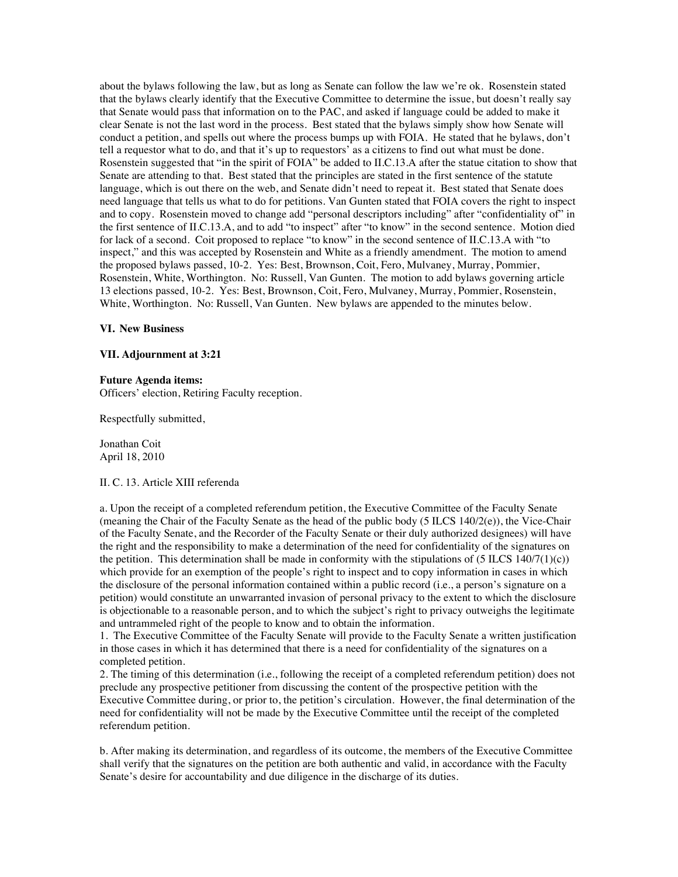about the bylaws following the law, but as long as Senate can follow the law we're ok. Rosenstein stated that the bylaws clearly identify that the Executive Committee to determine the issue, but doesn't really say that Senate would pass that information on to the PAC, and asked if language could be added to make it clear Senate is not the last word in the process. Best stated that the bylaws simply show how Senate will conduct a petition, and spells out where the process bumps up with FOIA. He stated that he bylaws, don't tell a requestor what to do, and that it's up to requestors' as a citizens to find out what must be done. Rosenstein suggested that "in the spirit of FOIA" be added to II.C.13.A after the statue citation to show that Senate are attending to that. Best stated that the principles are stated in the first sentence of the statute language, which is out there on the web, and Senate didn't need to repeat it. Best stated that Senate does need language that tells us what to do for petitions. Van Gunten stated that FOIA covers the right to inspect and to copy. Rosenstein moved to change add "personal descriptors including" after "confidentiality of" in the first sentence of II.C.13.A, and to add "to inspect" after "to know" in the second sentence. Motion died for lack of a second. Coit proposed to replace "to know" in the second sentence of II.C.13.A with "to inspect," and this was accepted by Rosenstein and White as a friendly amendment. The motion to amend the proposed bylaws passed, 10-2. Yes: Best, Brownson, Coit, Fero, Mulvaney, Murray, Pommier, Rosenstein, White, Worthington. No: Russell, Van Gunten. The motion to add bylaws governing article 13 elections passed, 10-2. Yes: Best, Brownson, Coit, Fero, Mulvaney, Murray, Pommier, Rosenstein, White, Worthington. No: Russell, Van Gunten. New bylaws are appended to the minutes below.

#### **VI. New Business**

#### **VII. Adjournment at 3:21**

#### **Future Agenda items:**

Officers' election, Retiring Faculty reception.

Respectfully submitted,

Jonathan Coit April 18, 2010

#### II. C. 13. Article XIII referenda

a. Upon the receipt of a completed referendum petition, the Executive Committee of the Faculty Senate (meaning the Chair of the Faculty Senate as the head of the public body (5 ILCS 140/2(e)), the Vice-Chair of the Faculty Senate, and the Recorder of the Faculty Senate or their duly authorized designees) will have the right and the responsibility to make a determination of the need for confidentiality of the signatures on the petition. This determination shall be made in conformity with the stipulations of  $(5 \text{ ILCS } 140/7(1)(c))$ which provide for an exemption of the people's right to inspect and to copy information in cases in which the disclosure of the personal information contained within a public record (i.e., a person's signature on a petition) would constitute an unwarranted invasion of personal privacy to the extent to which the disclosure is objectionable to a reasonable person, and to which the subject's right to privacy outweighs the legitimate and untrammeled right of the people to know and to obtain the information.

1. The Executive Committee of the Faculty Senate will provide to the Faculty Senate a written justification in those cases in which it has determined that there is a need for confidentiality of the signatures on a completed petition.

2. The timing of this determination (i.e., following the receipt of a completed referendum petition) does not preclude any prospective petitioner from discussing the content of the prospective petition with the Executive Committee during, or prior to, the petition's circulation. However, the final determination of the need for confidentiality will not be made by the Executive Committee until the receipt of the completed referendum petition.

b. After making its determination, and regardless of its outcome, the members of the Executive Committee shall verify that the signatures on the petition are both authentic and valid, in accordance with the Faculty Senate's desire for accountability and due diligence in the discharge of its duties.